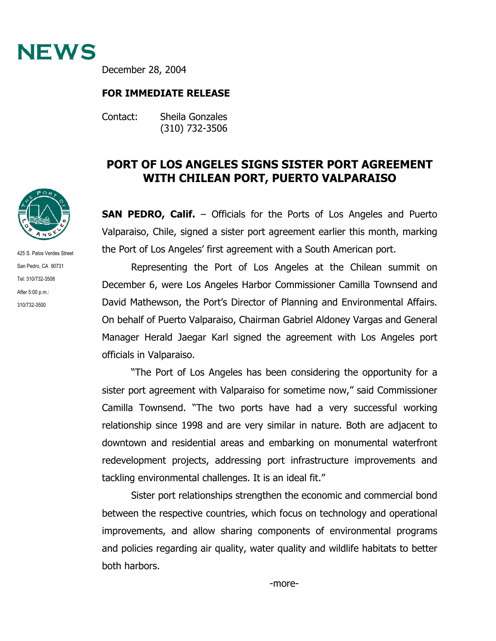

December 28, 2004

## **FOR IMMEDIATE RELEASE**

Contact: Sheila Gonzales (310) 732-3506

## **PORT OF LOS ANGELES SIGNS SISTER PORT AGREEMENT WITH CHILEAN PORT, PUERTO VALPARAISO**

**SAN PEDRO, Calif.** – Officials for the Ports of Los Angeles and Puerto Valparaiso, Chile, signed a sister port agreement earlier this month, marking the Port of Los Angeles' first agreement with a South American port.

Representing the Port of Los Angeles at the Chilean summit on December 6, were Los Angeles Harbor Commissioner Camilla Townsend and David Mathewson, the Port's Director of Planning and Environmental Affairs. On behalf of Puerto Valparaiso, Chairman Gabriel Aldoney Vargas and General Manager Herald Jaegar Karl signed the agreement with Los Angeles port officials in Valparaiso.

"The Port of Los Angeles has been considering the opportunity for a sister port agreement with Valparaiso for sometime now," said Commissioner Camilla Townsend. "The two ports have had a very successful working relationship since 1998 and are very similar in nature. Both are adjacent to downtown and residential areas and embarking on monumental waterfront redevelopment projects, addressing port infrastructure improvements and tackling environmental challenges. It is an ideal fit."

Sister port relationships strengthen the economic and commercial bond between the respective countries, which focus on technology and operational improvements, and allow sharing components of environmental programs and policies regarding air quality, water quality and wildlife habitats to better both harbors.



425 S. Palos Verdes Street San Pedro, CA 90731 Tel: 310/732-3508 After 5:00 p.m.: 310/732-3500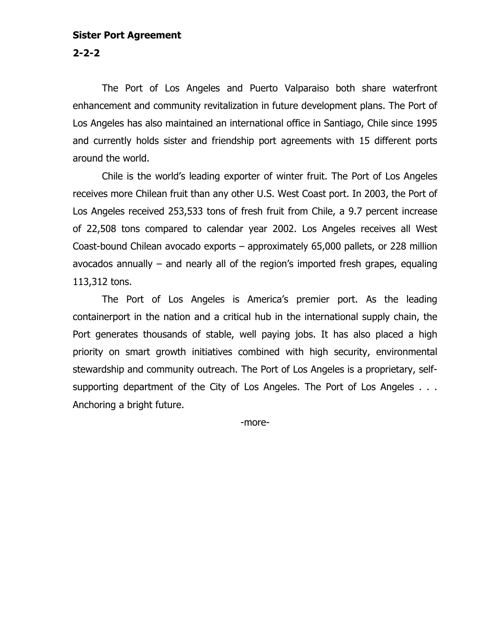## **Sister Port Agreement**

**2-2-2**

The Port of Los Angeles and Puerto Valparaiso both share waterfront enhancement and community revitalization in future development plans. The Port of Los Angeles has also maintained an international office in Santiago, Chile since 1995 and currently holds sister and friendship port agreements with 15 different ports around the world.

Chile is the world's leading exporter of winter fruit. The Port of Los Angeles receives more Chilean fruit than any other U.S. West Coast port. In 2003, the Port of Los Angeles received 253,533 tons of fresh fruit from Chile, a 9.7 percent increase of 22,508 tons compared to calendar year 2002. Los Angeles receives all West Coast-bound Chilean avocado exports – approximately 65,000 pallets, or 228 million avocados annually – and nearly all of the region's imported fresh grapes, equaling 113,312 tons.

The Port of Los Angeles is America's premier port. As the leading containerport in the nation and a critical hub in the international supply chain, the Port generates thousands of stable, well paying jobs. It has also placed a high priority on smart growth initiatives combined with high security, environmental stewardship and community outreach. The Port of Los Angeles is a proprietary, selfsupporting department of the City of Los Angeles. The Port of Los Angeles . . . Anchoring a bright future.

-more-